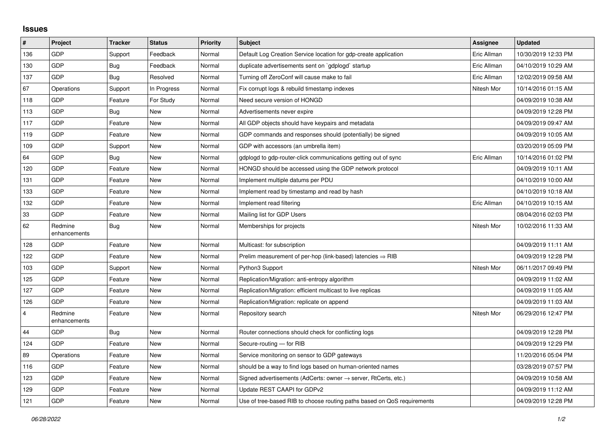## **Issues**

| $\sharp$ | Project                 | <b>Tracker</b> | <b>Status</b> | <b>Priority</b> | <b>Subject</b>                                                             | Assignee    | <b>Updated</b>      |
|----------|-------------------------|----------------|---------------|-----------------|----------------------------------------------------------------------------|-------------|---------------------|
| 136      | <b>GDP</b>              | Support        | Feedback      | Normal          | Default Log Creation Service location for gdp-create application           | Eric Allman | 10/30/2019 12:33 PM |
| 130      | <b>GDP</b>              | <b>Bug</b>     | Feedback      | Normal          | duplicate advertisements sent on `gdplogd` startup                         | Eric Allman | 04/10/2019 10:29 AM |
| 137      | <b>GDP</b>              | Bug            | Resolved      | Normal          | Turning off ZeroConf will cause make to fail                               | Eric Allman | 12/02/2019 09:58 AM |
| 67       | Operations              | Support        | In Progress   | Normal          | Fix corrupt logs & rebuild timestamp indexes                               | Nitesh Mor  | 10/14/2016 01:15 AM |
| 118      | <b>GDP</b>              | Feature        | For Study     | Normal          | Need secure version of HONGD                                               |             | 04/09/2019 10:38 AM |
| 113      | <b>GDP</b>              | Bug            | <b>New</b>    | Normal          | Advertisements never expire                                                |             | 04/09/2019 12:28 PM |
| 117      | <b>GDP</b>              | Feature        | <b>New</b>    | Normal          | All GDP objects should have keypairs and metadata                          |             | 04/09/2019 09:47 AM |
| 119      | <b>GDP</b>              | Feature        | <b>New</b>    | Normal          | GDP commands and responses should (potentially) be signed                  |             | 04/09/2019 10:05 AM |
| 109      | <b>GDP</b>              | Support        | <b>New</b>    | Normal          | GDP with accessors (an umbrella item)                                      |             | 03/20/2019 05:09 PM |
| 64       | <b>GDP</b>              | Bug            | <b>New</b>    | Normal          | gdplogd to gdp-router-click communications getting out of sync             | Eric Allman | 10/14/2016 01:02 PM |
| 120      | <b>GDP</b>              | Feature        | <b>New</b>    | Normal          | HONGD should be accessed using the GDP network protocol                    |             | 04/09/2019 10:11 AM |
| 131      | <b>GDP</b>              | Feature        | <b>New</b>    | Normal          | Implement multiple datums per PDU                                          |             | 04/10/2019 10:00 AM |
| 133      | <b>GDP</b>              | Feature        | <b>New</b>    | Normal          | Implement read by timestamp and read by hash                               |             | 04/10/2019 10:18 AM |
| 132      | <b>GDP</b>              | Feature        | <b>New</b>    | Normal          | Implement read filtering                                                   | Eric Allman | 04/10/2019 10:15 AM |
| 33       | <b>GDP</b>              | Feature        | New           | Normal          | Mailing list for GDP Users                                                 |             | 08/04/2016 02:03 PM |
| 62       | Redmine<br>enhancements | Bug            | <b>New</b>    | Normal          | Memberships for projects                                                   | Nitesh Mor  | 10/02/2016 11:33 AM |
| 128      | <b>GDP</b>              | Feature        | <b>New</b>    | Normal          | Multicast: for subscription                                                |             | 04/09/2019 11:11 AM |
| 122      | <b>GDP</b>              | Feature        | <b>New</b>    | Normal          | Prelim measurement of per-hop (link-based) latencies $\Rightarrow$ RIB     |             | 04/09/2019 12:28 PM |
| 103      | <b>GDP</b>              | Support        | <b>New</b>    | Normal          | Python3 Support                                                            | Nitesh Mor  | 06/11/2017 09:49 PM |
| 125      | <b>GDP</b>              | Feature        | <b>New</b>    | Normal          | Replication/Migration: anti-entropy algorithm                              |             | 04/09/2019 11:02 AM |
| 127      | <b>GDP</b>              | Feature        | <b>New</b>    | Normal          | Replication/Migration: efficient multicast to live replicas                |             | 04/09/2019 11:05 AM |
| 126      | <b>GDP</b>              | Feature        | <b>New</b>    | Normal          | Replication/Migration: replicate on append                                 |             | 04/09/2019 11:03 AM |
| 4        | Redmine<br>enhancements | Feature        | <b>New</b>    | Normal          | Repository search                                                          | Nitesh Mor  | 06/29/2016 12:47 PM |
| 44       | <b>GDP</b>              | Bug            | <b>New</b>    | Normal          | Router connections should check for conflicting logs                       |             | 04/09/2019 12:28 PM |
| 124      | GDP                     | Feature        | <b>New</b>    | Normal          | Secure-routing - for RIB                                                   |             | 04/09/2019 12:29 PM |
| 89       | Operations              | Feature        | <b>New</b>    | Normal          | Service monitoring on sensor to GDP gateways                               |             | 11/20/2016 05:04 PM |
| 116      | <b>GDP</b>              | Feature        | <b>New</b>    | Normal          | should be a way to find logs based on human-oriented names                 |             | 03/28/2019 07:57 PM |
| 123      | <b>GDP</b>              | Feature        | <b>New</b>    | Normal          | Signed advertisements (AdCerts: owner $\rightarrow$ server, RtCerts, etc.) |             | 04/09/2019 10:58 AM |
| 129      | <b>GDP</b>              | Feature        | <b>New</b>    | Normal          | Update REST CAAPI for GDPv2                                                |             | 04/09/2019 11:12 AM |
| $121$    | GDP                     | Feature        | <b>New</b>    | Normal          | Use of tree-based RIB to choose routing paths based on QoS requirements    |             | 04/09/2019 12:28 PM |